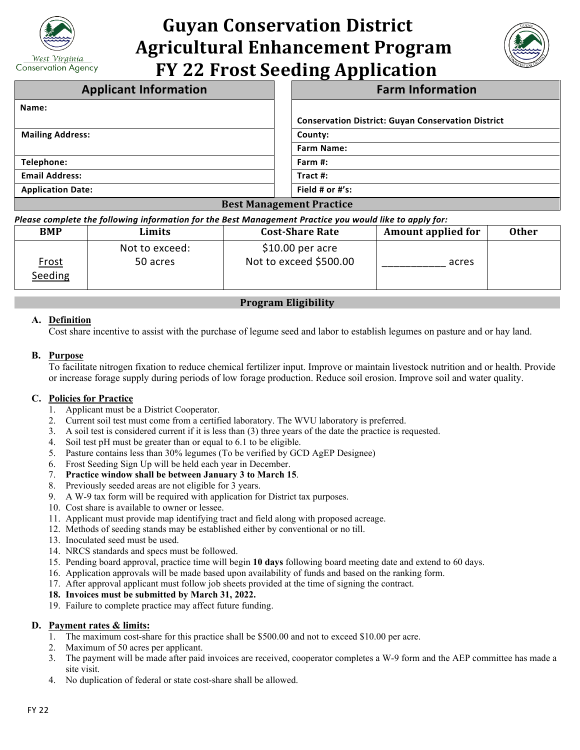

# **Guyan Conservation District Agricultural Enhancement Program FY 22 Frost Seeding Application**



| <b>Applicant Information</b>    | <b>Farm Information</b>                                   |  |  |
|---------------------------------|-----------------------------------------------------------|--|--|
| Name:                           |                                                           |  |  |
|                                 | <b>Conservation District: Guyan Conservation District</b> |  |  |
| <b>Mailing Address:</b>         | County:                                                   |  |  |
|                                 | <b>Farm Name:</b>                                         |  |  |
| Telephone:                      | Farm #:                                                   |  |  |
| <b>Email Address:</b>           | Tract #:                                                  |  |  |
| <b>Application Date:</b>        | Field # or $\#$ 's:                                       |  |  |
| <b>Best Management Practice</b> |                                                           |  |  |

*Please complete the following information for the Best Management Practice you would like to apply for:*

| <b>BMP</b>              | Limits                     | <b>Cost-Share Rate</b>                      | <b>Amount applied for</b> | <b>Other</b> |
|-------------------------|----------------------------|---------------------------------------------|---------------------------|--------------|
| <u>Frost</u><br>Seeding | Not to exceed:<br>50 acres | $$10.00$ per acre<br>Not to exceed \$500.00 | acres                     |              |

## **Program Eligibility**

## **A. Definition**

Cost share incentive to assist with the purchase of legume seed and labor to establish legumes on pasture and or hay land.

#### **B. Purpose**

To facilitate nitrogen fixation to reduce chemical fertilizer input. Improve or maintain livestock nutrition and or health. Provide or increase forage supply during periods of low forage production. Reduce soil erosion. Improve soil and water quality.

#### **C. Policies for Practice**

- 1. Applicant must be a District Cooperator.
- 2. Current soil test must come from a certified laboratory. The WVU laboratory is preferred.
- 3. A soil test is considered current if it is less than (3) three years of the date the practice is requested.
- 4. Soil test pH must be greater than or equal to 6.1 to be eligible.
- 5. Pasture contains less than 30% legumes (To be verified by GCD AgEP Designee)
- 6. Frost Seeding Sign Up will be held each year in December.
- 7. **Practice window shall be between January 3 to March 15**.
- 8. Previously seeded areas are not eligible for 3 years.
- 9. A W-9 tax form will be required with application for District tax purposes.
- 10. Cost share is available to owner or lessee.
- 11. Applicant must provide map identifying tract and field along with proposed acreage.
- 12. Methods of seeding stands may be established either by conventional or no till.
- 13. Inoculated seed must be used.
- 14. NRCS standards and specs must be followed.
- 15. Pending board approval, practice time will begin **10 days** following board meeting date and extend to 60 days.
- 16. Application approvals will be made based upon availability of funds and based on the ranking form.
- 17. After approval applicant must follow job sheets provided at the time of signing the contract.

#### **18. Invoices must be submitted by March 31, 2022.**

19. Failure to complete practice may affect future funding.

#### **D. Payment rates & limits:**

- 1. The maximum cost-share for this practice shall be \$500.00 and not to exceed \$10.00 per acre.
- 2. Maximum of 50 acres per applicant.
- 3. The payment will be made after paid invoices are received, cooperator completes a W-9 form and the AEP committee has made a site visit.
- 4. No duplication of federal or state cost-share shall be allowed.